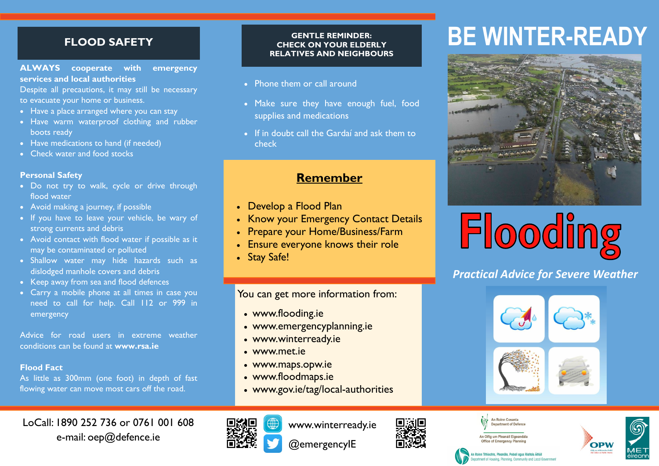# **FLOOD SAFETY**

#### **ALWAYS cooperate with emergency services and local authorities**

Despite all precautions, it may still be necessary to evacuate your home or business.

- Have a place arranged where you can stay
- Have warm waterproof clothing and rubber boots ready
- Have medications to hand (if needed)
- Check water and food stocks

#### **Personal Safety**

- Do not try to walk, cycle or drive through flood water
- Avoid making a journey, if possible
- If you have to leave your vehicle, be wary of strong currents and debris
- Avoid contact with flood water if possible as it may be contaminated or polluted
- Shallow water may hide hazards such as dislodged manhole covers and debris
- Keep away from sea and flood defences
- Carry a mobile phone at all times in case you need to call for help. Call 112 or 999 in emergency

Advice for road users in extreme weather conditions can be found at **www.rsa.ie**

### **Flood Fact**

As little as 300mm (one foot) in depth of fast flowing water can move most cars off the road.

# LoCall: 1890 252 736 or 0761 001 608 e-mail: oep@defence.ie

#### **GENTLE REMINDER: CHECK ON YOUR ELDERLY RELATIVES AND NEIGHBOURS**

- Phone them or call around
- Make sure they have enough fuel, food supplies and medications
- If in doubt call the Gardaí and ask them to check

# **Remember**

- Develop a Flood Plan
- Know your Emergency Contact Details
- Prepare your Home/Business/Farm
- Ensure everyone knows their role
- Stay Safe!

You can get more information from:

- [www.flooding.ie](http://www.agriculture.gov.ie)
- [www.emergencyplanning.ie](http://www.winterready.ie)
- www.winterready.ie
- [www.met.ie](http://www.met.ie)
- www.maps.opw.ie
- www.floodmaps.ie
- www.gov.ie/tag/local-authorities

www.winterready.ie

@emergencyIE

# **BE WINTER-READY**





# *Practical Advice for Severe Weather*